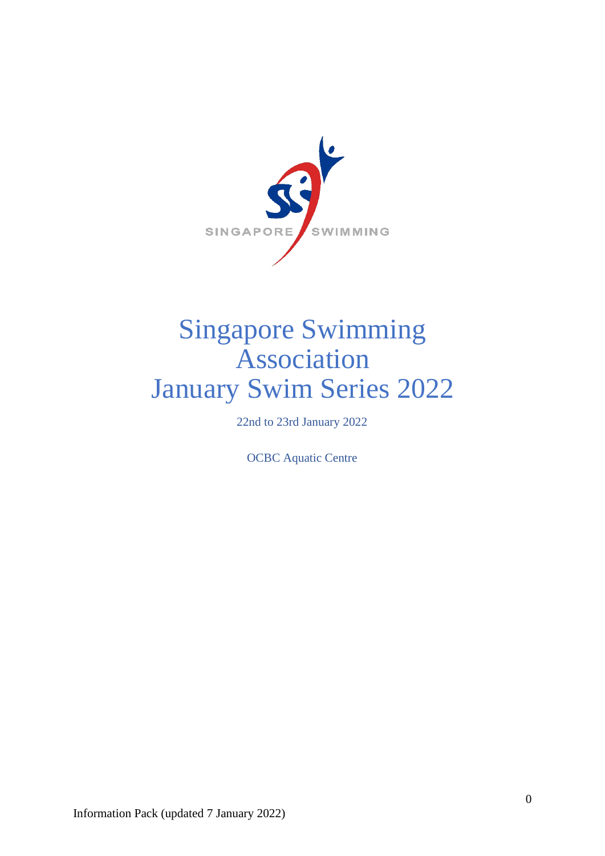

# Singapore Swimming Association January Swim Series 2022

22nd to 23rd January 2022

OCBC Aquatic Centre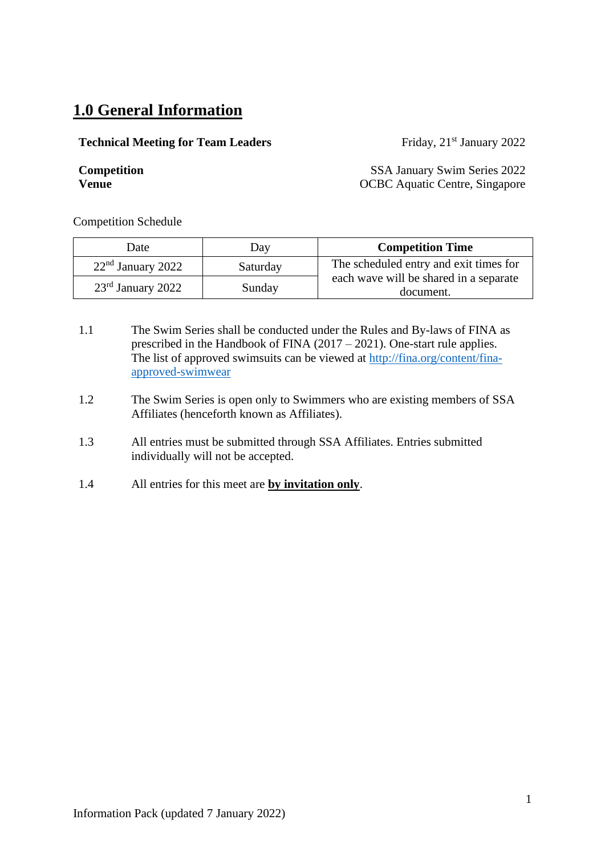### **1.0 General Information**

#### **Technical Meeting for Team Leaders** Friday, 21<sup>st</sup> January 2022

**Competition** SSA January Swim Series 2022 **Venue** OCBC Aquatic Centre, Singapore

Competition Schedule

| Date                | Day      | <b>Competition Time</b>                             |  |  |
|---------------------|----------|-----------------------------------------------------|--|--|
| $22nd$ January 2022 | Saturday | The scheduled entry and exit times for              |  |  |
| $23rd$ January 2022 | Sunday   | each wave will be shared in a separate<br>document. |  |  |

- 1.1 The Swim Series shall be conducted under the Rules and By-laws of FINA as prescribed in the Handbook of FINA (2017 – 2021). One-start rule applies. The list of approved swimsuits can be viewed at [http://fina.org/content/fina](http://fina.org/content/fina-approved-swimwear)[approved-swimwear](http://fina.org/content/fina-approved-swimwear)
- 1.2 The Swim Series is open only to Swimmers who are existing members of SSA Affiliates (henceforth known as Affiliates).
- 1.3 All entries must be submitted through SSA Affiliates. Entries submitted individually will not be accepted.
- 1.4 All entries for this meet are **by invitation only**.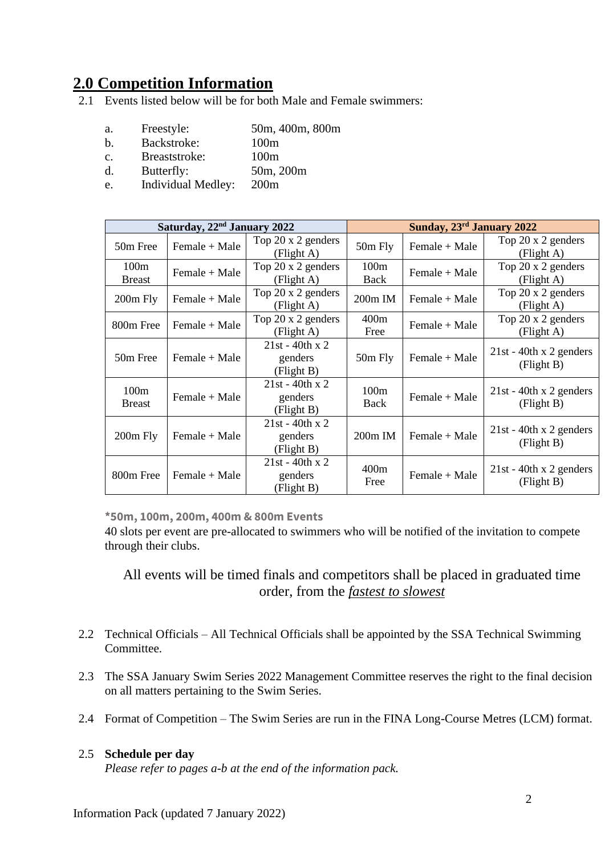### **2.0 Competition Information**

Events listed below will be for both Male and Female swimmers:

- a. Freestyle: 50m, 400m, 800m
- b. Backstroke: 100m
- c. Breaststroke: 100m
- d. Butterfly: 50m, 200m
- e. Individual Medley: 200m

| Saturday, 22 <sup>nd</sup> January 2022 |                 |                                            | Sunday, 23 <sup>rd</sup> January 2022 |                 |                                         |  |
|-----------------------------------------|-----------------|--------------------------------------------|---------------------------------------|-----------------|-----------------------------------------|--|
| 50m Free                                | Female + Male   | Top 20 x 2 genders<br>(Flight A)           | 50m Fly                               | Female + Male   | Top 20 x 2 genders<br>(Flight A)        |  |
| 100m<br><b>Breast</b>                   | Female + Male   | Top 20 x 2 genders<br>(Flight A)           | 100m<br>Back                          | Female + Male   | Top 20 x 2 genders<br>(Flight A)        |  |
| $200m$ Fly                              | Female + Male   | Top 20 x 2 genders<br>(Flight A)           | $200m$ IM                             | Female + Male   | Top 20 x 2 genders<br>(Flight A)        |  |
| 800m Free                               | $Female + Male$ | Top 20 x 2 genders<br>(Flight A)           | 400m<br>Free                          | $Female + Male$ | Top 20 x 2 genders<br>(Flight A)        |  |
| 50m Free                                | Female + Male   | $21st - 40th x 2$<br>genders<br>(Flight B) | $50m$ Fly                             | Female + Male   | $21st - 40th x 2$ genders<br>(Flight B) |  |
| 100m<br><b>Breast</b>                   | Female + Male   | $21st - 40th x 2$<br>genders<br>(Flight B) | 100m<br>Back                          | Female + Male   | $21st - 40th x 2$ genders<br>(Flight B) |  |
| $200m$ Fly                              | Female + Male   | $21st - 40th x 2$<br>genders<br>(Flight B) | $200m$ IM                             | Female + Male   | $21st - 40th x 2$ genders<br>(Flight B) |  |
| 800m Free                               | Female + Male   | $21st - 40th x 2$<br>genders<br>(Flight B) | 400m<br>Free                          | Female + Male   | $21st - 40th x 2$ genders<br>(Flight B) |  |

**\*50m, 100m, 200m, 400m & 800m Events**

40 slots per event are pre-allocated to swimmers who will be notified of the invitation to compete through their clubs.

All events will be timed finals and competitors shall be placed in graduated time order, from the *fastest to slowest*

- 2.2 Technical Officials All Technical Officials shall be appointed by the SSA Technical Swimming Committee.
- 2.3 The SSA January Swim Series 2022 Management Committee reserves the right to the final decision on all matters pertaining to the Swim Series.
- 2.4 Format of Competition The Swim Series are run in the FINA Long-Course Metres (LCM) format.

#### 2.5 **Schedule per day**

*Please refer to pages a-b at the end of the information pack.*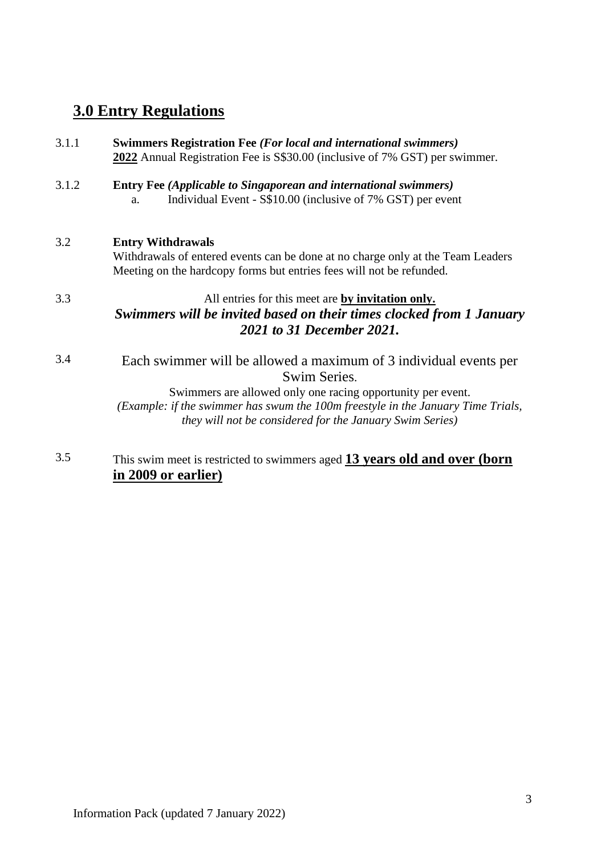### **3.0 Entry Regulations**

| 3.1.1 | <b>Swimmers Registration Fee (For local and international swimmers)</b><br>2022 Annual Registration Fee is S\$30.00 (inclusive of 7% GST) per swimmer.                                                                                                                                                  |
|-------|---------------------------------------------------------------------------------------------------------------------------------------------------------------------------------------------------------------------------------------------------------------------------------------------------------|
| 3.1.2 | <b>Entry Fee (Applicable to Singaporean and international swimmers)</b><br>Individual Event - S\$10.00 (inclusive of 7% GST) per event<br>$a$ .                                                                                                                                                         |
| 3.2   | <b>Entry Withdrawals</b><br>Withdrawals of entered events can be done at no charge only at the Team Leaders<br>Meeting on the hardcopy forms but entries fees will not be refunded.                                                                                                                     |
| 3.3   | All entries for this meet are by invitation only.<br>Swimmers will be invited based on their times clocked from 1 January<br>2021 to 31 December 2021.                                                                                                                                                  |
| 3.4   | Each swimmer will be allowed a maximum of 3 individual events per<br>Swim Series.<br>Swimmers are allowed only one racing opportunity per event.<br>(Example: if the swimmer has swum the 100m freestyle in the January Time Trials,<br><i>they will not be considered for the January Swim Series)</i> |
|       |                                                                                                                                                                                                                                                                                                         |

### 3.5 This swim meet is restricted to swimmers aged **13 years old and over (born in 2009 or earlier)**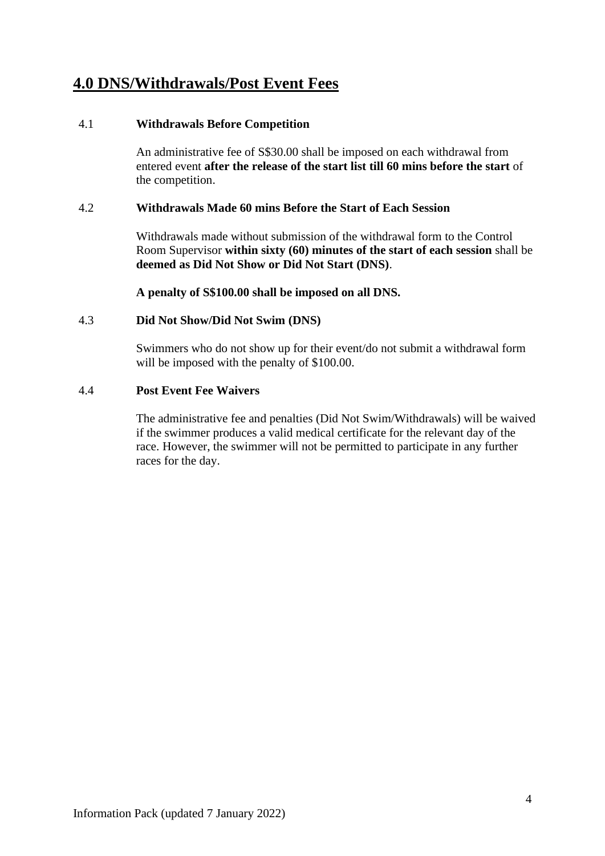### **4.0 DNS/Withdrawals/Post Event Fees**

#### 4.1 **Withdrawals Before Competition**

An administrative fee of S\$30.00 shall be imposed on each withdrawal from entered event **after the release of the start list till 60 mins before the start** of the competition.

#### 4.2 **Withdrawals Made 60 mins Before the Start of Each Session**

Withdrawals made without submission of the withdrawal form to the Control Room Supervisor **within sixty (60) minutes of the start of each session** shall be **deemed as Did Not Show or Did Not Start (DNS)**.

**A penalty of S\$100.00 shall be imposed on all DNS.**

#### 4.3 **Did Not Show/Did Not Swim (DNS)**

Swimmers who do not show up for their event/do not submit a withdrawal form will be imposed with the penalty of \$100.00.

#### 4.4 **Post Event Fee Waivers**

The administrative fee and penalties (Did Not Swim/Withdrawals) will be waived if the swimmer produces a valid medical certificate for the relevant day of the race. However, the swimmer will not be permitted to participate in any further races for the day.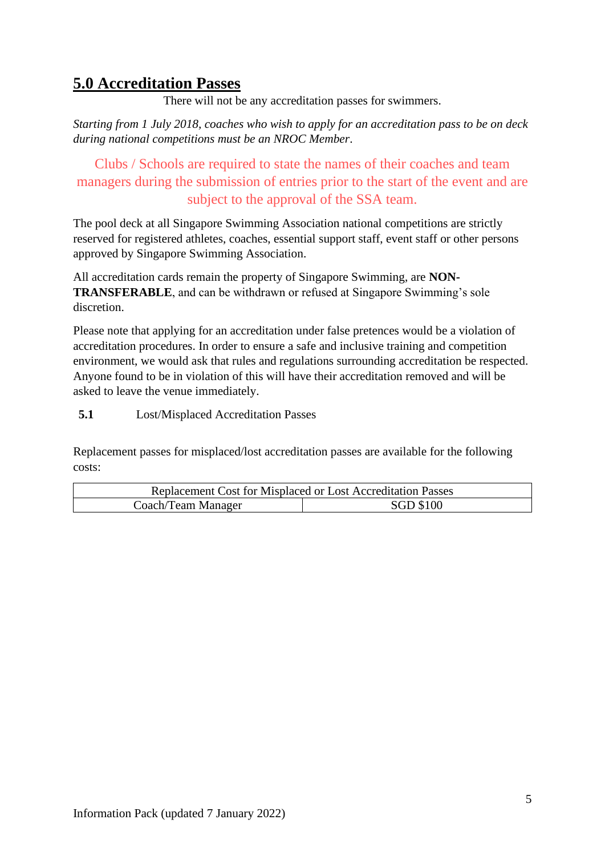### **5.0 Accreditation Passes**

There will not be any accreditation passes for swimmers.

*Starting from 1 July 2018, coaches who wish to apply for an accreditation pass to be on deck during national competitions must be an NROC Member*.

Clubs / Schools are required to state the names of their coaches and team managers during the submission of entries prior to the start of the event and are subject to the approval of the SSA team.

The pool deck at all Singapore Swimming Association national competitions are strictly reserved for registered athletes, coaches, essential support staff, event staff or other persons approved by Singapore Swimming Association.

All accreditation cards remain the property of Singapore Swimming, are **NON-TRANSFERABLE**, and can be withdrawn or refused at Singapore Swimming's sole discretion.

Please note that applying for an accreditation under false pretences would be a violation of accreditation procedures. In order to ensure a safe and inclusive training and competition environment, we would ask that rules and regulations surrounding accreditation be respected. Anyone found to be in violation of this will have their accreditation removed and will be asked to leave the venue immediately.

**5.1** Lost/Misplaced Accreditation Passes

Replacement passes for misplaced/lost accreditation passes are available for the following costs:

| <b>Replacement Cost for Misplaced or Lost Accreditation Passes</b> |                  |  |  |  |
|--------------------------------------------------------------------|------------------|--|--|--|
| Coach/Team Manager                                                 | <b>SGD \$100</b> |  |  |  |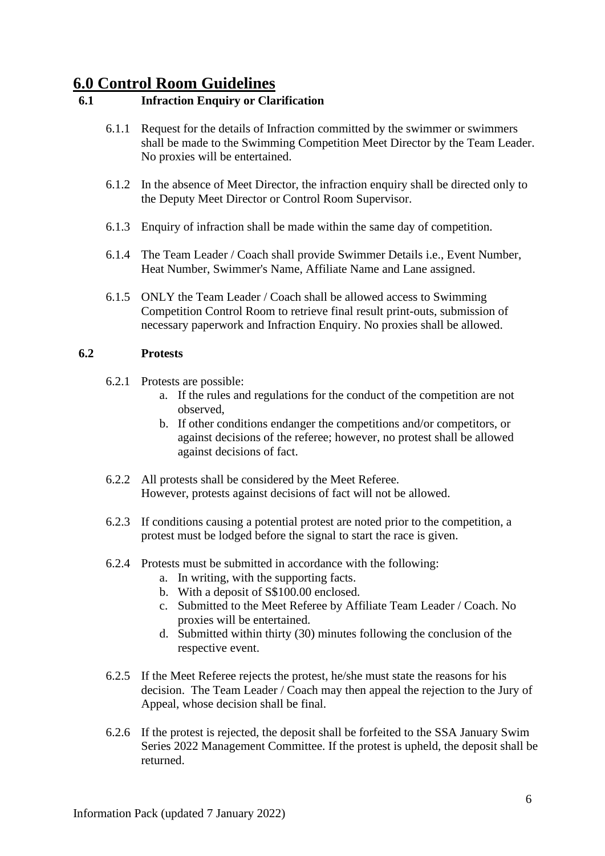### **6.0 Control Room Guidelines**

### **6.1 Infraction Enquiry or Clarification**

- 6.1.1 Request for the details of Infraction committed by the swimmer or swimmers shall be made to the Swimming Competition Meet Director by the Team Leader. No proxies will be entertained.
- 6.1.2 In the absence of Meet Director, the infraction enquiry shall be directed only to the Deputy Meet Director or Control Room Supervisor.
- 6.1.3 Enquiry of infraction shall be made within the same day of competition.
- 6.1.4 The Team Leader / Coach shall provide Swimmer Details i.e., Event Number, Heat Number, Swimmer's Name, Affiliate Name and Lane assigned.
- 6.1.5 ONLY the Team Leader / Coach shall be allowed access to Swimming Competition Control Room to retrieve final result print-outs, submission of necessary paperwork and Infraction Enquiry. No proxies shall be allowed.

#### **6.2 Protests**

- 6.2.1 Protests are possible:
	- a. If the rules and regulations for the conduct of the competition are not observed,
	- b. If other conditions endanger the competitions and/or competitors, or against decisions of the referee; however, no protest shall be allowed against decisions of fact.
- 6.2.2 All protests shall be considered by the Meet Referee. However, protests against decisions of fact will not be allowed.
- 6.2.3 If conditions causing a potential protest are noted prior to the competition, a protest must be lodged before the signal to start the race is given.
- 6.2.4 Protests must be submitted in accordance with the following:
	- a. In writing, with the supporting facts.
	- b. With a deposit of S\$100.00 enclosed.
	- c. Submitted to the Meet Referee by Affiliate Team Leader / Coach. No proxies will be entertained.
	- d. Submitted within thirty (30) minutes following the conclusion of the respective event.
- 6.2.5 If the Meet Referee rejects the protest, he/she must state the reasons for his decision. The Team Leader / Coach may then appeal the rejection to the Jury of Appeal, whose decision shall be final.
- 6.2.6 If the protest is rejected, the deposit shall be forfeited to the SSA January Swim Series 2022 Management Committee. If the protest is upheld, the deposit shall be returned.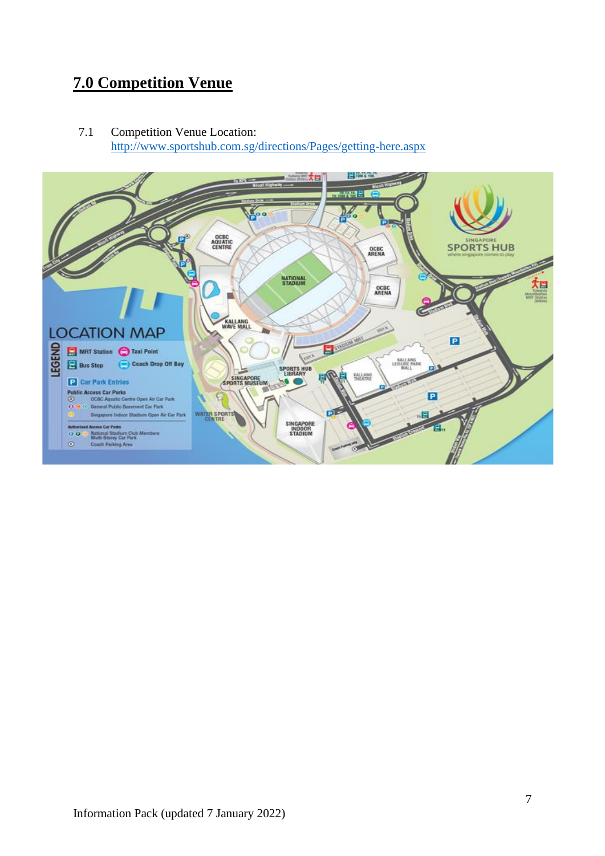### **7.0 Competition Venue**

7.1 Competition Venue Location: <http://www.sportshub.com.sg/directions/Pages/getting-here.aspx>

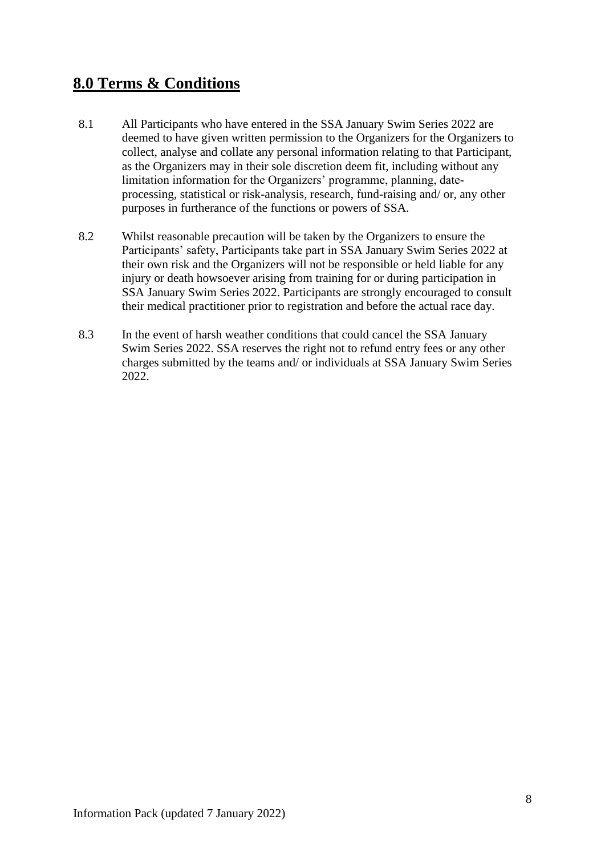### **8.0 Terms & Conditions**

- 8.1 All Participants who have entered in the SSA January Swim Series 2022 are deemed to have given written permission to the Organizers for the Organizers to collect, analyse and collate any personal information relating to that Participant, as the Organizers may in their sole discretion deem fit, including without any limitation information for the Organizers' programme, planning, dateprocessing, statistical or risk-analysis, research, fund-raising and/ or, any other purposes in furtherance of the functions or powers of SSA.
- 8.2 Whilst reasonable precaution will be taken by the Organizers to ensure the Participants' safety, Participants take part in SSA January Swim Series 2022 at their own risk and the Organizers will not be responsible or held liable for any injury or death howsoever arising from training for or during participation in SSA January Swim Series 2022. Participants are strongly encouraged to consult their medical practitioner prior to registration and before the actual race day.
- 8.3 In the event of harsh weather conditions that could cancel the SSA January Swim Series 2022. SSA reserves the right not to refund entry fees or any other charges submitted by the teams and/ or individuals at SSA January Swim Series 2022.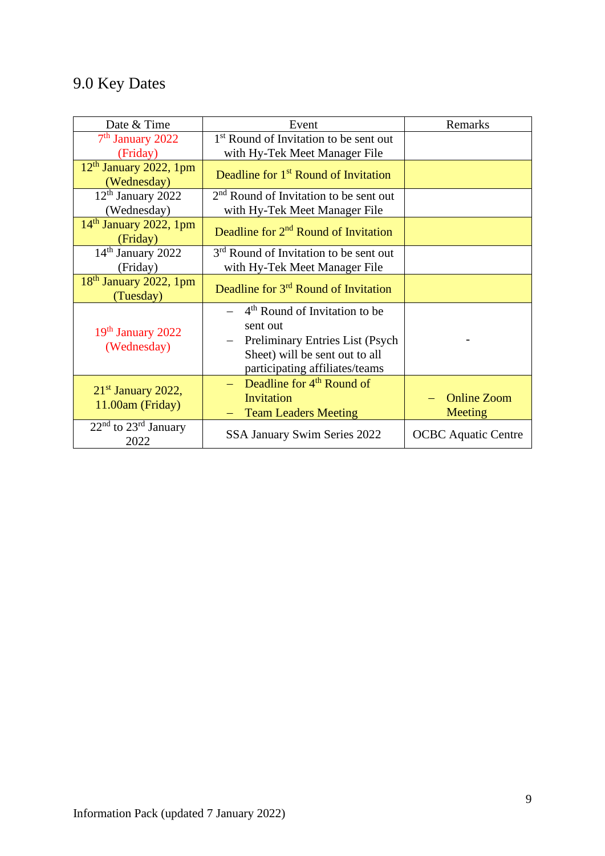## 9.0 Key Dates

| Date & Time                               | Event                                                                                                                                                                                        | Remarks                       |  |
|-------------------------------------------|----------------------------------------------------------------------------------------------------------------------------------------------------------------------------------------------|-------------------------------|--|
| $7th$ January 2022<br>(Friday)            | 1 <sup>st</sup> Round of Invitation to be sent out<br>with Hy-Tek Meet Manager File                                                                                                          |                               |  |
| $12th$ January 2022, 1pm<br>(Wednesday)   | Deadline for 1 <sup>st</sup> Round of Invitation                                                                                                                                             |                               |  |
| $12th$ January 2022<br>(Wednesday)        | 2 <sup>nd</sup> Round of Invitation to be sent out<br>with Hy-Tek Meet Manager File                                                                                                          |                               |  |
| $14th$ January 2022, 1pm<br>(Friday)      | Deadline for $2nd$ Round of Invitation                                                                                                                                                       |                               |  |
| 14 <sup>th</sup> January 2022<br>(Friday) | 3 <sup>rd</sup> Round of Invitation to be sent out<br>with Hy-Tek Meet Manager File                                                                                                          |                               |  |
| $18th$ January 2022, 1pm<br>(Tuesday)     | Deadline for 3 <sup>rd</sup> Round of Invitation                                                                                                                                             |                               |  |
| 19th January 2022<br>(Wednesday)          | $-$ 4 <sup>th</sup> Round of Invitation to be<br>sent out<br>Preliminary Entries List (Psych<br>$\overline{\phantom{0}}$<br>Sheet) will be sent out to all<br>participating affiliates/teams |                               |  |
| $21st$ January 2022,<br>11.00am (Friday)  | Deadline for 4 <sup>th</sup> Round of<br>Invitation<br><b>Team Leaders Meeting</b>                                                                                                           | <b>Online Zoom</b><br>Meeting |  |
| $22nd$ to $23rd$ January<br>2022          | <b>SSA January Swim Series 2022</b>                                                                                                                                                          | <b>OCBC</b> Aquatic Centre    |  |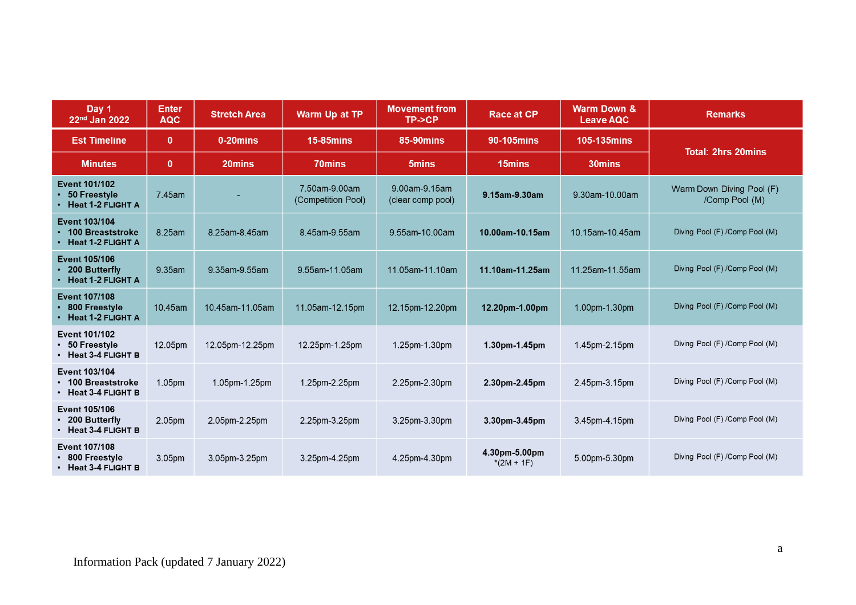| Day 1<br>22 <sup>nd</sup> Jan 2022                               | <b>Enter</b><br><b>AQC</b> | <b>Stretch Area</b> | Warm Up at TP                       | <b>Movement from</b><br>TP->CP     | <b>Race at CP</b>             | <b>Warm Down &amp;</b><br><b>Leave AQC</b> | <b>Remarks</b>                              |
|------------------------------------------------------------------|----------------------------|---------------------|-------------------------------------|------------------------------------|-------------------------------|--------------------------------------------|---------------------------------------------|
| <b>Est Timeline</b>                                              | $\mathbf{0}$               | 0-20mins            | <b>15-85mins</b>                    | <b>85-90mins</b>                   | 90-105mins                    | <b>105-135mins</b>                         | <b>Total: 2hrs 20mins</b>                   |
| <b>Minutes</b>                                                   | $\mathbf{0}$               | 20mins              | 70mins                              | 5 <sub>mins</sub>                  | 15mins                        | 30mins                                     |                                             |
| <b>Event 101/102</b><br>50 Freestyle<br>Heat 1-2 FLIGHT A        | 7.45am                     |                     | 7.50am-9.00am<br>(Competition Pool) | 9.00am-9.15am<br>(clear comp pool) | 9.15am-9.30am                 | 9.30am-10.00am                             | Warm Down Diving Pool (F)<br>/Comp Pool (M) |
| Event 103/104<br>100 Breaststroke<br>Heat 1-2 FLIGHT A           | 8.25am                     | 8.25am-8.45am       | 8.45am-9.55am                       | 9.55am-10.00am                     | 10.00am-10.15am               | 10.15am-10.45am                            | Diving Pool (F) / Comp Pool (M)             |
| <b>Event 105/106</b><br>200 Butterfly<br>Heat 1-2 FLIGHT A       | 9.35am                     | 9.35am-9.55am       | 9.55am-11.05am                      | 11.05am-11.10am                    | 11.10am-11.25am               | 11.25am-11.55am                            | Diving Pool (F) /Comp Pool (M)              |
| <b>Event 107/108</b><br>800 Freestyle<br>Heat 1-2 FLIGHT A       | 10.45am                    | 10.45am-11.05am     | 11.05am-12.15pm                     | 12.15pm-12.20pm                    | 12.20pm-1.00pm                | 1.00pm-1.30pm                              | Diving Pool (F) / Comp Pool (M)             |
| Event 101/102<br>• 50 Freestyle<br>• Heat 3-4 FLIGHT B           | 12.05pm                    | 12.05pm-12.25pm     | 12.25pm-1.25pm                      | 1.25pm-1.30pm                      | $1.30pm-1.45pm$               | 1.45pm-2.15pm                              | Diving Pool (F) / Comp Pool (M)             |
| Event 103/104<br>• 100 Breaststroke<br>$\cdot$ Heat 3-4 FLIGHT B | 1.05pm                     | 1.05pm-1.25pm       | 1.25pm-2.25pm                       | 2.25pm-2.30pm                      | 2.30pm-2.45pm                 | 2.45pm-3.15pm                              | Diving Pool (F) / Comp Pool (M)             |
| Event 105/106<br>• 200 Butterfly<br>• Heat 3-4 FLIGHT B          | 2.05pm                     | 2.05pm-2.25pm       | 2.25pm-3.25pm                       | 3.25pm-3.30pm                      | 3.30pm-3.45pm                 | 3.45pm-4.15pm                              | Diving Pool (F) / Comp Pool (M)             |
| Event 107/108<br>• 800 Freestyle<br>• Heat 3-4 FLIGHT B          | 3.05 <sub>pm</sub>         | 3.05pm-3.25pm       | 3.25pm-4.25pm                       | 4.25pm-4.30pm                      | 4.30pm-5.00pm<br>$*(2M + 1F)$ | 5.00pm-5.30pm                              | Diving Pool (F) /Comp Pool (M)              |